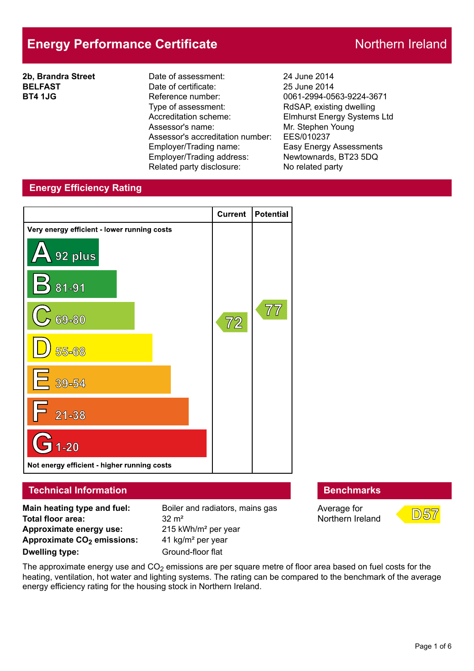# **Energy Performance Certificate** Northern Ireland

**2b, Brandra Street BELFAST BT4 1JG**

Date of assessment: 24 June 2014 Date of certificate: 25 June 2014 Reference number: 0061-2994-0563-9224-3671 Type of assessment: RdSAP, existing dwelling Accreditation scheme: Elmhurst Energy Systems Ltd Assessor's name: Mr. Stephen Young Assessor's accreditation number: EES/010237 Employer/Trading name: Easy Energy Assessments Employer/Trading address: Newtownards, BT23 5DQ Related party disclosure: No related party

# **Energy Efficiency Rating**



### **Technical Information Benchmarks**

**Main heating type and fuel:** Boiler and radiators, mains gas **Total floor area:** 32 m<sup>2</sup> **Approximate energy use:** 215 kWh/m² per year **Approximate CO2 emissions:** 41 kg/m² per year **Dwelling type:** Ground-floor flat

Average for Northern Ireland



The approximate energy use and  $CO<sub>2</sub>$  emissions are per square metre of floor area based on fuel costs for the heating, ventilation, hot water and lighting systems. The rating can be compared to the benchmark of the average energy efficiency rating for the housing stock in Northern Ireland.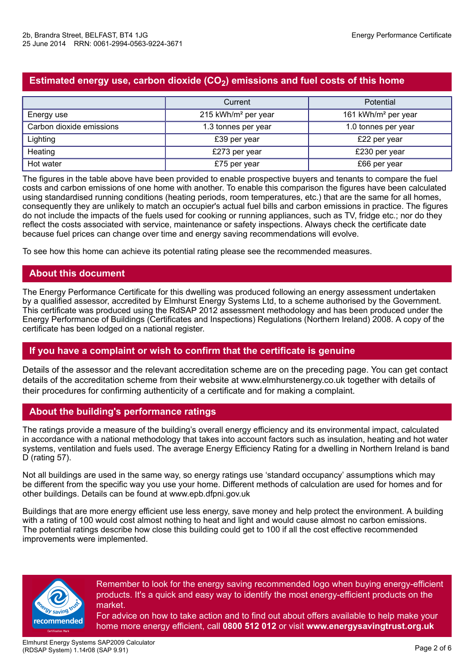# **Estimated energy use, carbon dioxide (CO2) emissions and fuel costs of this home**

|                          | Current                         | Potential                       |  |
|--------------------------|---------------------------------|---------------------------------|--|
| Energy use               | 215 kWh/m <sup>2</sup> per year | 161 kWh/m <sup>2</sup> per year |  |
| Carbon dioxide emissions | 1.3 tonnes per year             | 1.0 tonnes per year             |  |
| Lighting                 | £39 per year                    | £22 per year                    |  |
| Heating                  | £273 per year                   | £230 per year                   |  |
| Hot water                | £75 per year                    | £66 per year                    |  |

The figures in the table above have been provided to enable prospective buyers and tenants to compare the fuel costs and carbon emissions of one home with another. To enable this comparison the figures have been calculated using standardised running conditions (heating periods, room temperatures, etc.) that are the same for all homes, consequently they are unlikely to match an occupier's actual fuel bills and carbon emissions in practice. The figures do not include the impacts of the fuels used for cooking or running appliances, such as TV, fridge etc.; nor do they reflect the costs associated with service, maintenance or safety inspections. Always check the certificate date because fuel prices can change over time and energy saving recommendations will evolve.

To see how this home can achieve its potential rating please see the recommended measures.

# **About this document**

The Energy Performance Certificate for this dwelling was produced following an energy assessment undertaken by a qualified assessor, accredited by Elmhurst Energy Systems Ltd, to a scheme authorised by the Government. This certificate was produced using the RdSAP 2012 assessment methodology and has been produced under the Energy Performance of Buildings (Certificates and Inspections) Regulations (Northern Ireland) 2008. A copy of the certificate has been lodged on a national register.

#### **If you have a complaint or wish to confirm that the certificate is genuine**

Details of the assessor and the relevant accreditation scheme are on the preceding page. You can get contact details of the accreditation scheme from their website at www.elmhurstenergy.co.uk together with details of their procedures for confirming authenticity of a certificate and for making a complaint.

# **About the building's performance ratings**

The ratings provide a measure of the building's overall energy efficiency and its environmental impact, calculated in accordance with a national methodology that takes into account factors such as insulation, heating and hot water systems, ventilation and fuels used. The average Energy Efficiency Rating for a dwelling in Northern Ireland is band D (rating 57).

Not all buildings are used in the same way, so energy ratings use 'standard occupancy' assumptions which may be different from the specific way you use your home. Different methods of calculation are used for homes and for other buildings. Details can be found at www.epb.dfpni.gov.uk

Buildings that are more energy efficient use less energy, save money and help protect the environment. A building with a rating of 100 would cost almost nothing to heat and light and would cause almost no carbon emissions. The potential ratings describe how close this building could get to 100 if all the cost effective recommended improvements were implemented.



Remember to look for the energy saving recommended logo when buying energy-efficient products. It's a quick and easy way to identify the most energy-efficient products on the market.

For advice on how to take action and to find out about offers available to help make your home more energy efficient, call **0800 512 012** or visit **www.energysavingtrust.org.uk**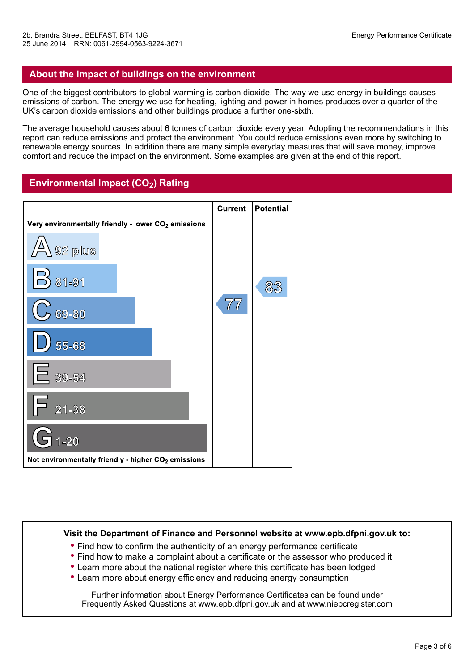### **About the impact of buildings on the environment**

One of the biggest contributors to global warming is carbon dioxide. The way we use energy in buildings causes emissions of carbon. The energy we use for heating, lighting and power in homes produces over a quarter of the UK's carbon dioxide emissions and other buildings produce a further one-sixth.

The average household causes about 6 tonnes of carbon dioxide every year. Adopting the recommendations in this report can reduce emissions and protect the environment. You could reduce emissions even more by switching to renewable energy sources. In addition there are many simple everyday measures that will save money, improve comfort and reduce the impact on the environment. Some examples are given at the end of this report.

# **Environmental Impact (CO2) Rating**

|                                                                 | <b>Current</b>             | <b>Potential</b> |
|-----------------------------------------------------------------|----------------------------|------------------|
| Very environmentally friendly - lower CO <sub>2</sub> emissions |                            |                  |
| '丛\<br>$\sqrt{92}$ plus                                         |                            |                  |
| 81-91                                                           |                            | 83               |
| 69-80                                                           | $\overline{7}\overline{7}$ |                  |
| 55-68                                                           |                            |                  |
| $E_{39-54}$                                                     |                            |                  |
| $21 - 38$                                                       |                            |                  |
| $1 - 20$<br><b>C</b>                                            |                            |                  |
| Not environmentally friendly - higher CO <sub>2</sub> emissions |                            |                  |

#### **Visit the Department of Finance and Personnel website at www.epb.dfpni.gov.uk to:**

- **•** Find how to confirm the authenticity of an energy performance certificate
- **•** Find how to make a complaint about a certificate or the assessor who produced it
- **•** Learn more about the national register where this certificate has been lodged
- **•** Learn more about energy efficiency and reducing energy consumption

Further information about Energy Performance Certificates can be found under Frequently Asked Questions at www.epb.dfpni.gov.uk and at www.niepcregister.com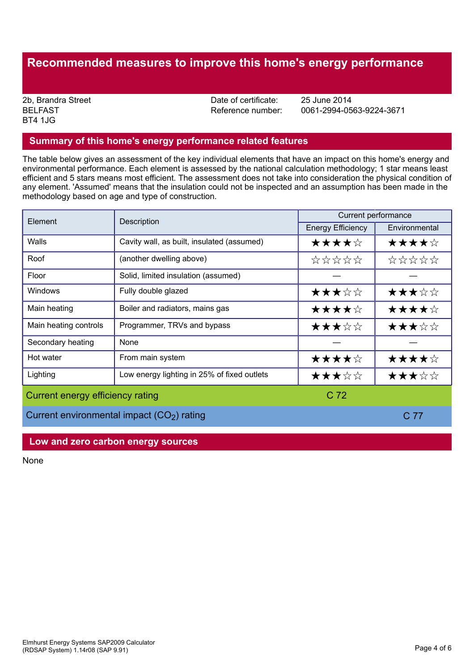# **Recommended measures to improve this home's energy performance**

BELFAST BT4 1JG

2b, Brandra Street **Date of certificate:** 25 June 2014<br>BELFAST BELFAST **Date of certificate:** 25 June 2014

Reference number: 0061-2994-0563-9224-3671

#### **Summary of this home's energy performance related features**

The table below gives an assessment of the key individual elements that have an impact on this home's energy and environmental performance. Each element is assessed by the national calculation methodology; 1 star means least efficient and 5 stars means most efficient. The assessment does not take into consideration the physical condition of any element. 'Assumed' means that the insulation could not be inspected and an assumption has been made in the methodology based on age and type of construction.

| Element                                                | Description                                 | Current performance      |               |  |
|--------------------------------------------------------|---------------------------------------------|--------------------------|---------------|--|
|                                                        |                                             | <b>Energy Efficiency</b> | Environmental |  |
| Walls                                                  | Cavity wall, as built, insulated (assumed)  | ★★★★☆                    | ★★★★☆         |  |
| Roof                                                   | (another dwelling above)                    | *****                    | *****         |  |
| Floor                                                  | Solid, limited insulation (assumed)         |                          |               |  |
| Windows                                                | Fully double glazed                         | ★★★☆☆                    | ★★★☆☆         |  |
| Main heating                                           | Boiler and radiators, mains gas             | ★★★★☆                    | ★★★★☆         |  |
| Main heating controls                                  | Programmer, TRVs and bypass                 | ★★★☆☆                    | ★★★☆☆         |  |
| Secondary heating                                      | None                                        |                          |               |  |
| Hot water                                              | From main system                            | ★★★★☆                    | ★★★★☆         |  |
| Lighting                                               | Low energy lighting in 25% of fixed outlets | ★★★☆☆                    | ★★★☆☆         |  |
| Current energy efficiency rating                       |                                             | C <sub>72</sub>          |               |  |
| Current environmental impact (CO <sub>2</sub> ) rating |                                             | C 77                     |               |  |

#### **Low and zero carbon energy sources**

None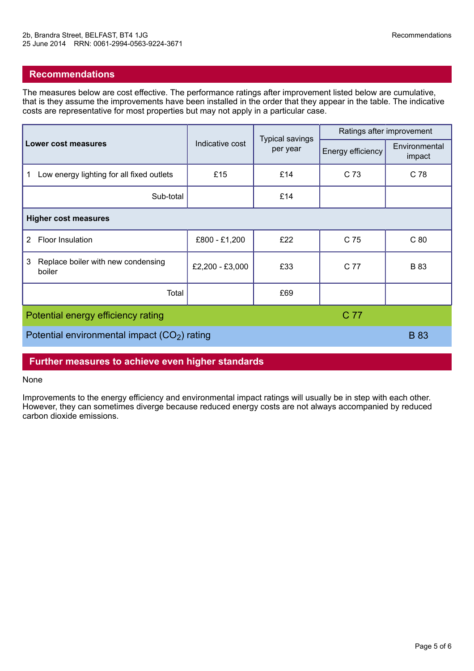### **Recommendations**

The measures below are cost effective. The performance ratings after improvement listed below are cumulative, that is they assume the improvements have been installed in the order that they appear in the table. The indicative costs are representative for most properties but may not apply in a particular case.

|                                                   |                 | <b>Typical savings</b><br>per year | Ratings after improvement |                         |  |  |  |
|---------------------------------------------------|-----------------|------------------------------------|---------------------------|-------------------------|--|--|--|
| <b>Lower cost measures</b>                        | Indicative cost |                                    | Energy efficiency         | Environmental<br>impact |  |  |  |
| Low energy lighting for all fixed outlets<br>1    | £15             | £14                                | C 73                      | C 78                    |  |  |  |
| Sub-total                                         |                 | £14                                |                           |                         |  |  |  |
| <b>Higher cost measures</b>                       |                 |                                    |                           |                         |  |  |  |
| Floor Insulation<br>$\mathbf{2}^{\prime}$         | £800 - £1,200   | £22                                | C 75                      | C80                     |  |  |  |
| Replace boiler with new condensing<br>3<br>boiler | £2,200 - £3,000 | £33                                | C 77                      | <b>B</b> 83             |  |  |  |
| Total                                             |                 | £69                                |                           |                         |  |  |  |
| C 77<br>Potential energy efficiency rating        |                 |                                    |                           |                         |  |  |  |
| Potential environmental impact $(CO2)$ rating     |                 |                                    |                           |                         |  |  |  |

#### **Further measures to achieve even higher standards**

#### None

Improvements to the energy efficiency and environmental impact ratings will usually be in step with each other. However, they can sometimes diverge because reduced energy costs are not always accompanied by reduced carbon dioxide emissions.